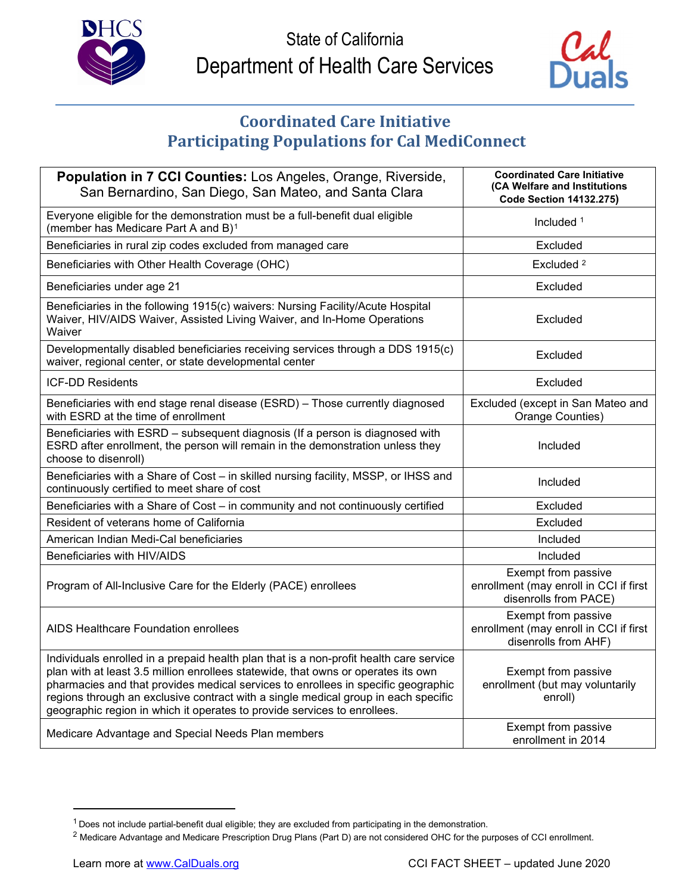



## **Coordinated Care Initiative Participating Populations for Cal MediConnect**

| Population in 7 CCI Counties: Los Angeles, Orange, Riverside,<br>San Bernardino, San Diego, San Mateo, and Santa Clara                                                                                                                                                                                                                                                                                                             | <b>Coordinated Care Initiative</b><br>(CA Welfare and Institutions<br><b>Code Section 14132.275)</b> |
|------------------------------------------------------------------------------------------------------------------------------------------------------------------------------------------------------------------------------------------------------------------------------------------------------------------------------------------------------------------------------------------------------------------------------------|------------------------------------------------------------------------------------------------------|
| Everyone eligible for the demonstration must be a full-benefit dual eligible<br>(member has Medicare Part A and B) <sup>1</sup>                                                                                                                                                                                                                                                                                                    | Included <sup>1</sup>                                                                                |
| Beneficiaries in rural zip codes excluded from managed care                                                                                                                                                                                                                                                                                                                                                                        | Excluded                                                                                             |
| Beneficiaries with Other Health Coverage (OHC)                                                                                                                                                                                                                                                                                                                                                                                     | Excluded <sup>2</sup>                                                                                |
| Beneficiaries under age 21                                                                                                                                                                                                                                                                                                                                                                                                         | Excluded                                                                                             |
| Beneficiaries in the following 1915(c) waivers: Nursing Facility/Acute Hospital<br>Waiver, HIV/AIDS Waiver, Assisted Living Waiver, and In-Home Operations<br>Waiver                                                                                                                                                                                                                                                               | Excluded                                                                                             |
| Developmentally disabled beneficiaries receiving services through a DDS 1915(c)<br>waiver, regional center, or state developmental center                                                                                                                                                                                                                                                                                          | Excluded                                                                                             |
| <b>ICF-DD Residents</b>                                                                                                                                                                                                                                                                                                                                                                                                            | Excluded                                                                                             |
| Beneficiaries with end stage renal disease (ESRD) - Those currently diagnosed<br>with ESRD at the time of enrollment                                                                                                                                                                                                                                                                                                               | Excluded (except in San Mateo and<br>Orange Counties)                                                |
| Beneficiaries with ESRD - subsequent diagnosis (If a person is diagnosed with<br>ESRD after enrollment, the person will remain in the demonstration unless they<br>choose to disenroll)                                                                                                                                                                                                                                            | Included                                                                                             |
| Beneficiaries with a Share of Cost - in skilled nursing facility, MSSP, or IHSS and<br>continuously certified to meet share of cost                                                                                                                                                                                                                                                                                                | Included                                                                                             |
| Beneficiaries with a Share of Cost - in community and not continuously certified                                                                                                                                                                                                                                                                                                                                                   | Excluded                                                                                             |
| Resident of veterans home of California                                                                                                                                                                                                                                                                                                                                                                                            | Excluded                                                                                             |
| American Indian Medi-Cal beneficiaries                                                                                                                                                                                                                                                                                                                                                                                             | Included                                                                                             |
| Beneficiaries with HIV/AIDS                                                                                                                                                                                                                                                                                                                                                                                                        | Included                                                                                             |
| Program of All-Inclusive Care for the Elderly (PACE) enrollees                                                                                                                                                                                                                                                                                                                                                                     | Exempt from passive<br>enrollment (may enroll in CCI if first<br>disenrolls from PACE)               |
| AIDS Healthcare Foundation enrollees                                                                                                                                                                                                                                                                                                                                                                                               | Exempt from passive<br>enrollment (may enroll in CCI if first<br>disenrolls from AHF)                |
| Individuals enrolled in a prepaid health plan that is a non-profit health care service<br>plan with at least 3.5 million enrollees statewide, that owns or operates its own<br>pharmacies and that provides medical services to enrollees in specific geographic<br>regions through an exclusive contract with a single medical group in each specific<br>geographic region in which it operates to provide services to enrollees. | Exempt from passive<br>enrollment (but may voluntarily<br>enroll)                                    |
| Medicare Advantage and Special Needs Plan members                                                                                                                                                                                                                                                                                                                                                                                  | Exempt from passive<br>enrollment in 2014                                                            |

<span id="page-0-0"></span> $1$  Does not include partial-benefit dual eligible; they are excluded from participating in the demonstration.

<sup>&</sup>lt;sup>2</sup> Medicare Advantage and Medicare Prescription Drug Plans (Part D) are not considered OHC for the purposes of CCI enrollment.